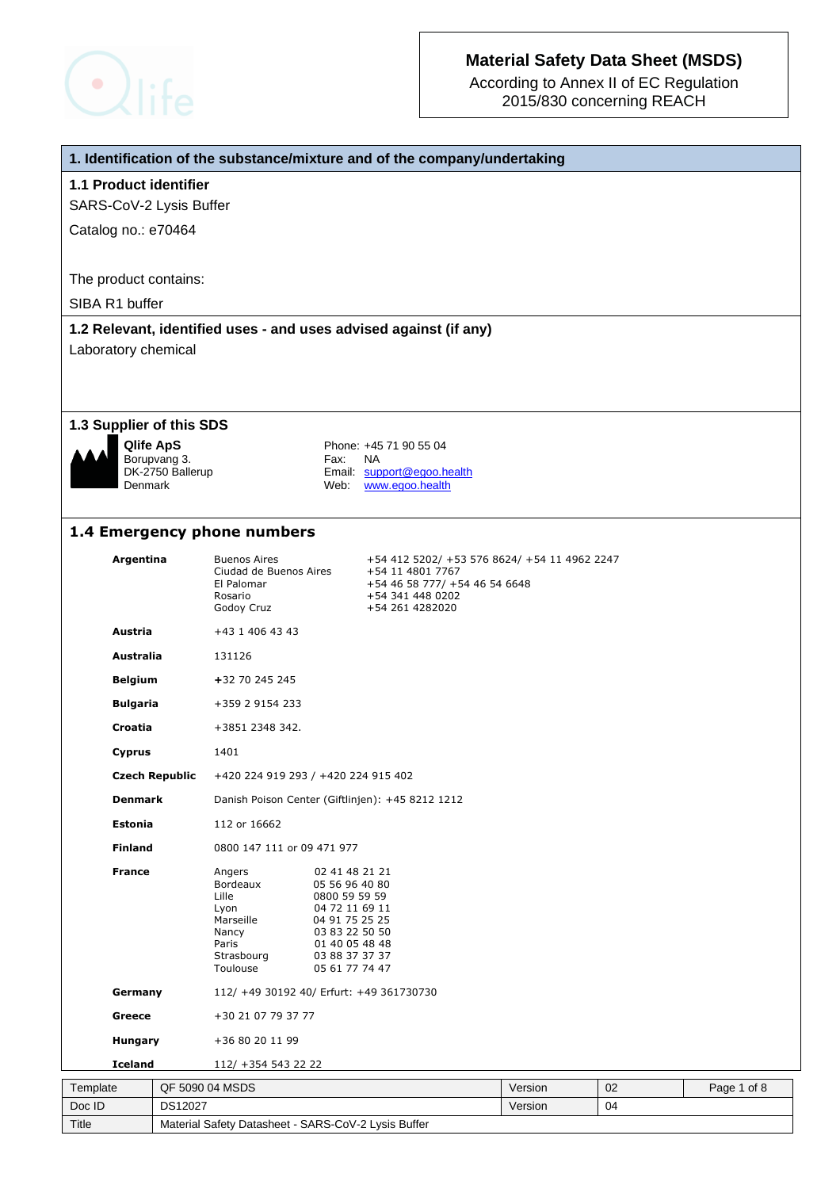

According to Annex II of EC Regulation 2015/830 concerning REACH

### **1. Identification of the substance/mixture and of the company/undertaking**

### **1.1 Product identifier**

SARS-CoV-2 Lysis Buffer

Catalog no.: e70464

The product contains:

SIBA R1 buffer

### **1.2 Relevant, identified uses - and uses advised against (if any)**

Laboratory chemical

#### **1.3 Supplier of this SDS**



Borupvang 3.<br>DK-2750 Ballerup

**Qlife ApS** Phone: +45 71 90 55 04<br>Borupvang 3. **Property** Fax: NA DK-2750 Ballerup Email: support@egoo.health<br>Denmark Web: www.egoo.health Web: www.egoo.health

## **1.4 Emergency phone numbers**

Title Material Safety Datasheet - SARS-CoV-2 Lysis Buffer

|          | Argentina             |                 | <b>Buenos Aires</b><br>Ciudad de Buenos Aires<br>El Palomar<br>Rosario<br>Godoy Cruz         |                                                                                                                                                               | +54 412 5202/ +53 576 8624/ +54 11 4962 2247<br>+54 11 4801 7767<br>+54 46 58 777/ +54 46 54 6648<br>+54 341 448 0202<br>+54 261 4282020 |         |    |             |
|----------|-----------------------|-----------------|----------------------------------------------------------------------------------------------|---------------------------------------------------------------------------------------------------------------------------------------------------------------|------------------------------------------------------------------------------------------------------------------------------------------|---------|----|-------------|
|          | <b>Austria</b>        |                 | +43 1 406 43 43                                                                              |                                                                                                                                                               |                                                                                                                                          |         |    |             |
|          | <b>Australia</b>      |                 | 131126                                                                                       |                                                                                                                                                               |                                                                                                                                          |         |    |             |
|          | <b>Belgium</b>        |                 | +32 70 245 245                                                                               |                                                                                                                                                               |                                                                                                                                          |         |    |             |
|          | <b>Bulgaria</b>       |                 | +359 2 9154 233                                                                              |                                                                                                                                                               |                                                                                                                                          |         |    |             |
|          | Croatia               |                 | +3851 2348 342.                                                                              |                                                                                                                                                               |                                                                                                                                          |         |    |             |
|          | Cyprus                |                 | 1401                                                                                         |                                                                                                                                                               |                                                                                                                                          |         |    |             |
|          | <b>Czech Republic</b> |                 | +420 224 919 293 / +420 224 915 402                                                          |                                                                                                                                                               |                                                                                                                                          |         |    |             |
|          | <b>Denmark</b>        |                 |                                                                                              |                                                                                                                                                               | Danish Poison Center (Giftlinjen): +45 8212 1212                                                                                         |         |    |             |
|          | <b>Estonia</b>        |                 | 112 or 16662                                                                                 |                                                                                                                                                               |                                                                                                                                          |         |    |             |
|          | <b>Finland</b>        |                 | 0800 147 111 or 09 471 977                                                                   |                                                                                                                                                               |                                                                                                                                          |         |    |             |
|          | <b>France</b>         |                 | Angers<br>Bordeaux<br>Lille<br>Lyon<br>Marseille<br>Nancy<br>Paris<br>Strasbourg<br>Toulouse | 02 41 48 21 21<br>05 56 96 40 80<br>0800 59 59 59<br>04 72 11 69 11<br>04 91 75 25 25<br>03 83 22 50 50<br>01 40 05 48 48<br>03 88 37 37 37<br>05 61 77 74 47 |                                                                                                                                          |         |    |             |
|          | Germany<br>Greece     |                 | 112/ +49 30192 40/ Erfurt: +49 361730730                                                     |                                                                                                                                                               |                                                                                                                                          |         |    |             |
|          |                       |                 | +30 21 07 79 37 77                                                                           |                                                                                                                                                               |                                                                                                                                          |         |    |             |
| Hungary  |                       |                 | +36 80 20 11 99                                                                              |                                                                                                                                                               |                                                                                                                                          |         |    |             |
|          | <b>Iceland</b>        |                 | 112/ +354 543 22 22                                                                          |                                                                                                                                                               |                                                                                                                                          |         |    |             |
| Template |                       | QF 5090 04 MSDS |                                                                                              |                                                                                                                                                               |                                                                                                                                          | Version | 02 | Page 1 of 8 |
| Doc ID   |                       | <b>DS12027</b>  |                                                                                              |                                                                                                                                                               |                                                                                                                                          | Version | 04 |             |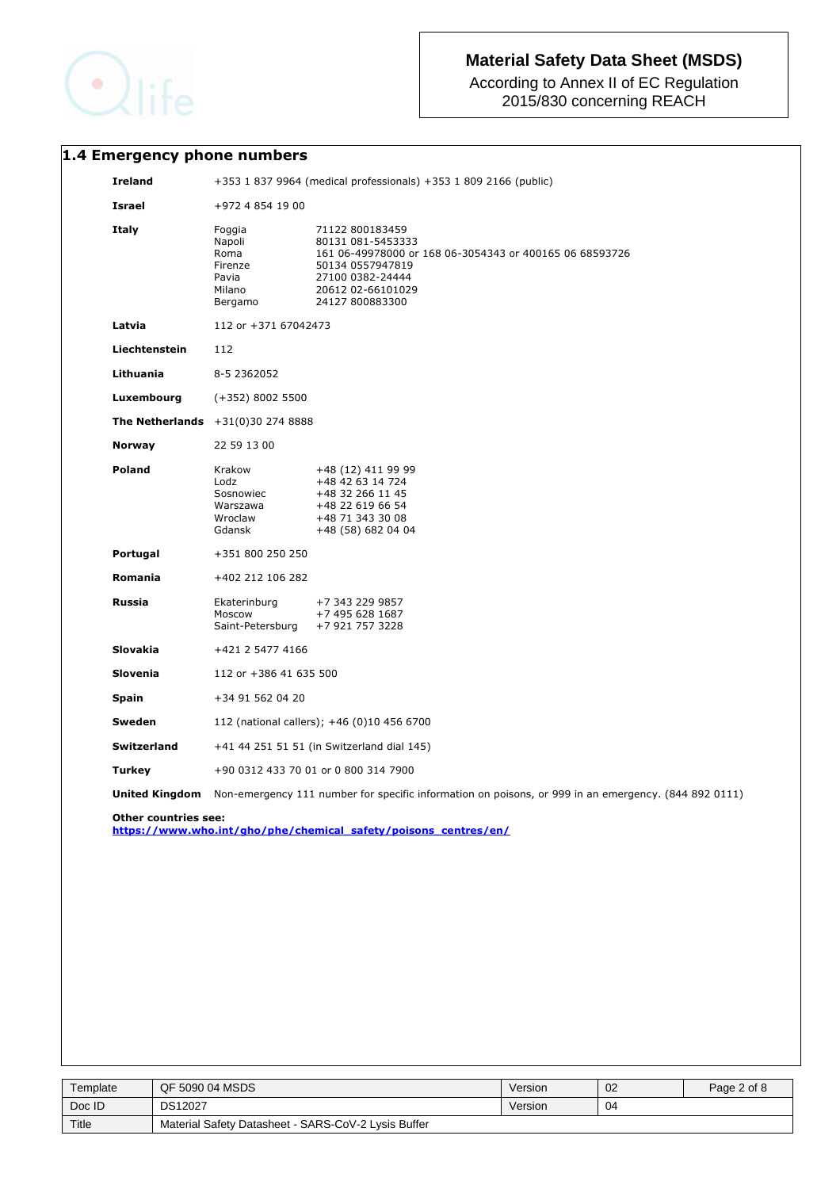

According to Annex II of EC Regulation 2015/830 concerning REACH

# **1.4 Emergency phone numbers**

| <b>Ireland</b>  | +353 1 837 9964 (medical professionals) +353 1 809 2166 (public)  |                                                                                                                                                                                 |  |
|-----------------|-------------------------------------------------------------------|---------------------------------------------------------------------------------------------------------------------------------------------------------------------------------|--|
| <b>Israel</b>   | +972 4 854 19 00                                                  |                                                                                                                                                                                 |  |
| Italy           | Foggia<br>Napoli<br>Roma<br>Firenze<br>Pavia<br>Milano<br>Bergamo | 71122 800183459<br>80131 081-5453333<br>161 06-49978000 or 168 06-3054343 or 400165 06 68593726<br>50134 0557947819<br>27100 0382-24444<br>20612 02-66101029<br>24127 800883300 |  |
| Latvia          | 112 or +371 67042473                                              |                                                                                                                                                                                 |  |
| Liechtenstein   | 112                                                               |                                                                                                                                                                                 |  |
| Lithuania       | 8-5 2362052                                                       |                                                                                                                                                                                 |  |
| Luxembourg      | $(+352)$ 8002 5500                                                |                                                                                                                                                                                 |  |
|                 | <b>The Netherlands</b> $+31(0)30 274 8888$                        |                                                                                                                                                                                 |  |
| <b>Norway</b>   | 22 59 13 00                                                       |                                                                                                                                                                                 |  |
| Poland          | Krakow<br>Lodz<br>Sosnowiec<br>Warszawa<br>Wroclaw<br>Gdansk      | +48 (12) 411 99 99<br>+48 42 63 14 724<br>+48 32 266 11 45<br>+48 22 619 66 54<br>+48 71 343 30 08<br>+48 (58) 682 04 04                                                        |  |
| Portugal        | +351 800 250 250                                                  |                                                                                                                                                                                 |  |
| <b>Romania</b>  | +402 212 106 282                                                  |                                                                                                                                                                                 |  |
| <b>Russia</b>   | Ekaterinburg<br>Moscow<br>Saint-Petersburg                        | +7 343 229 9857<br>+7 495 628 1687<br>+7 921 757 3228                                                                                                                           |  |
| <b>Slovakia</b> | +421 2 5477 4166                                                  |                                                                                                                                                                                 |  |
| <b>Slovenia</b> | 112 or +386 41 635 500                                            |                                                                                                                                                                                 |  |
| <b>Spain</b>    | +34 91 562 04 20                                                  |                                                                                                                                                                                 |  |
| Sweden          | 112 (national callers); +46 (0)10 456 6700                        |                                                                                                                                                                                 |  |
| Switzerland     | +41 44 251 51 51 (in Switzerland dial 145)                        |                                                                                                                                                                                 |  |
| <b>Turkey</b>   | +90 0312 433 70 01 or 0 800 314 7900                              |                                                                                                                                                                                 |  |
|                 |                                                                   | Non-emergency 111 number for specific information on poisons, or 999 in an emergency. (844 892 0111)                                                                            |  |

| Template | QF 5090 04 MSDS                                     | Version | 02 | Page 2 of 8 |
|----------|-----------------------------------------------------|---------|----|-------------|
| Doc ID   | <b>DS12027</b>                                      | Version | 04 |             |
| Title    | Material Safety Datasheet - SARS-CoV-2 Lysis Buffer |         |    |             |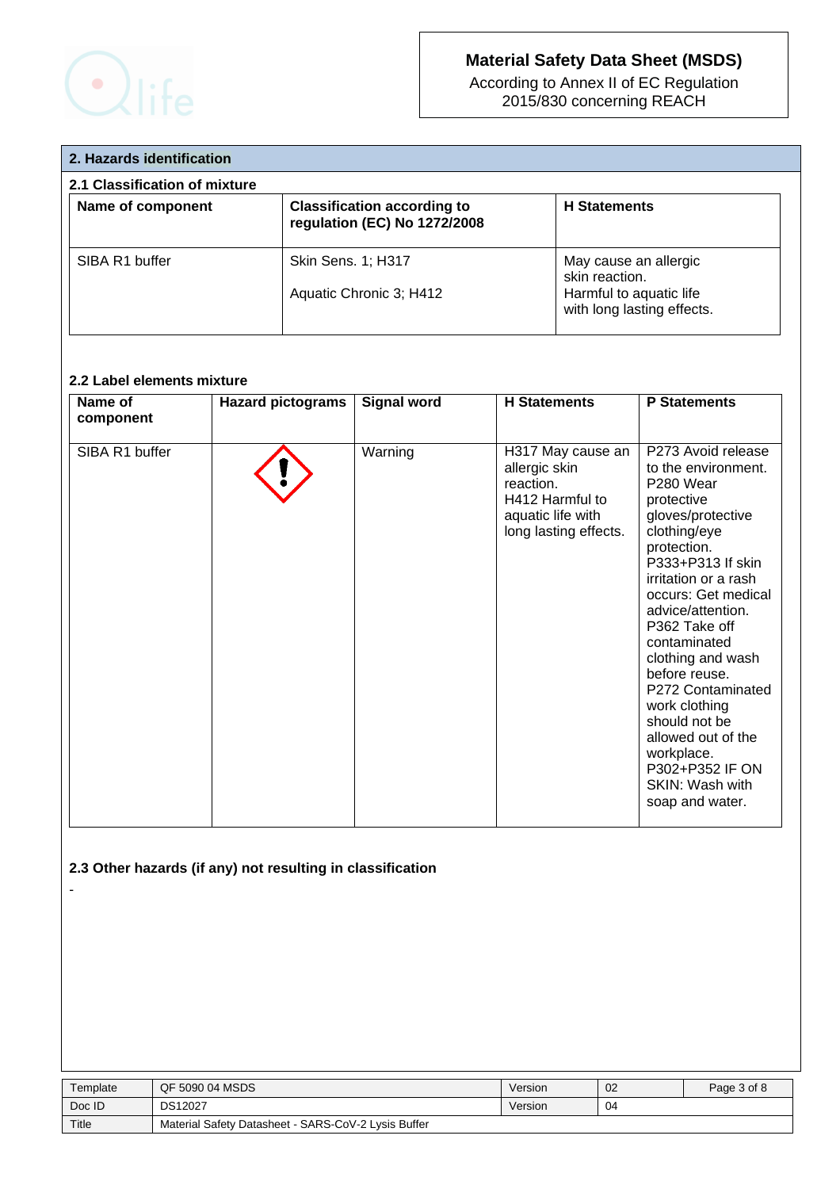

According to Annex II of EC Regulation 2015/830 concerning REACH

| 2. Hazards identification     |                                                                    |                                                                                                  |  |  |
|-------------------------------|--------------------------------------------------------------------|--------------------------------------------------------------------------------------------------|--|--|
| 2.1 Classification of mixture |                                                                    |                                                                                                  |  |  |
| Name of component             | <b>Classification according to</b><br>regulation (EC) No 1272/2008 | <b>H</b> Statements                                                                              |  |  |
| SIBA R1 buffer                | Skin Sens. 1; H317<br>Aquatic Chronic 3; H412                      | May cause an allergic<br>skin reaction.<br>Harmful to aquatic life<br>with long lasting effects. |  |  |

# **2.2 Label elements mixture**

| Name of<br>component | <b>Hazard pictograms</b> | <b>Signal word</b> | <b>H</b> Statements                                                                                              | <b>P</b> Statements                                                                                                                                                                                                                                                                                                                                                                                                                                      |
|----------------------|--------------------------|--------------------|------------------------------------------------------------------------------------------------------------------|----------------------------------------------------------------------------------------------------------------------------------------------------------------------------------------------------------------------------------------------------------------------------------------------------------------------------------------------------------------------------------------------------------------------------------------------------------|
| SIBA R1 buffer       |                          | Warning            | H317 May cause an<br>allergic skin<br>reaction.<br>H412 Harmful to<br>aquatic life with<br>long lasting effects. | P273 Avoid release<br>to the environment.<br>P <sub>280</sub> Wear<br>protective<br>gloves/protective<br>clothing/eye<br>protection.<br>P333+P313 If skin<br>irritation or a rash<br>occurs: Get medical<br>advice/attention.<br>P362 Take off<br>contaminated<br>clothing and wash<br>before reuse.<br>P272 Contaminated<br>work clothing<br>should not be<br>allowed out of the<br>workplace.<br>P302+P352 IF ON<br>SKIN: Wash with<br>soap and water. |

# **2.3 Other hazards (if any) not resulting in classification**

-

| Template | QF 5090 04 MSDS                                     | Version | 02 | Page 3 of 8 |
|----------|-----------------------------------------------------|---------|----|-------------|
| Doc ID   | <b>DS12027</b>                                      | Version | 04 |             |
| Title    | Material Safety Datasheet - SARS-CoV-2 Lysis Buffer |         |    |             |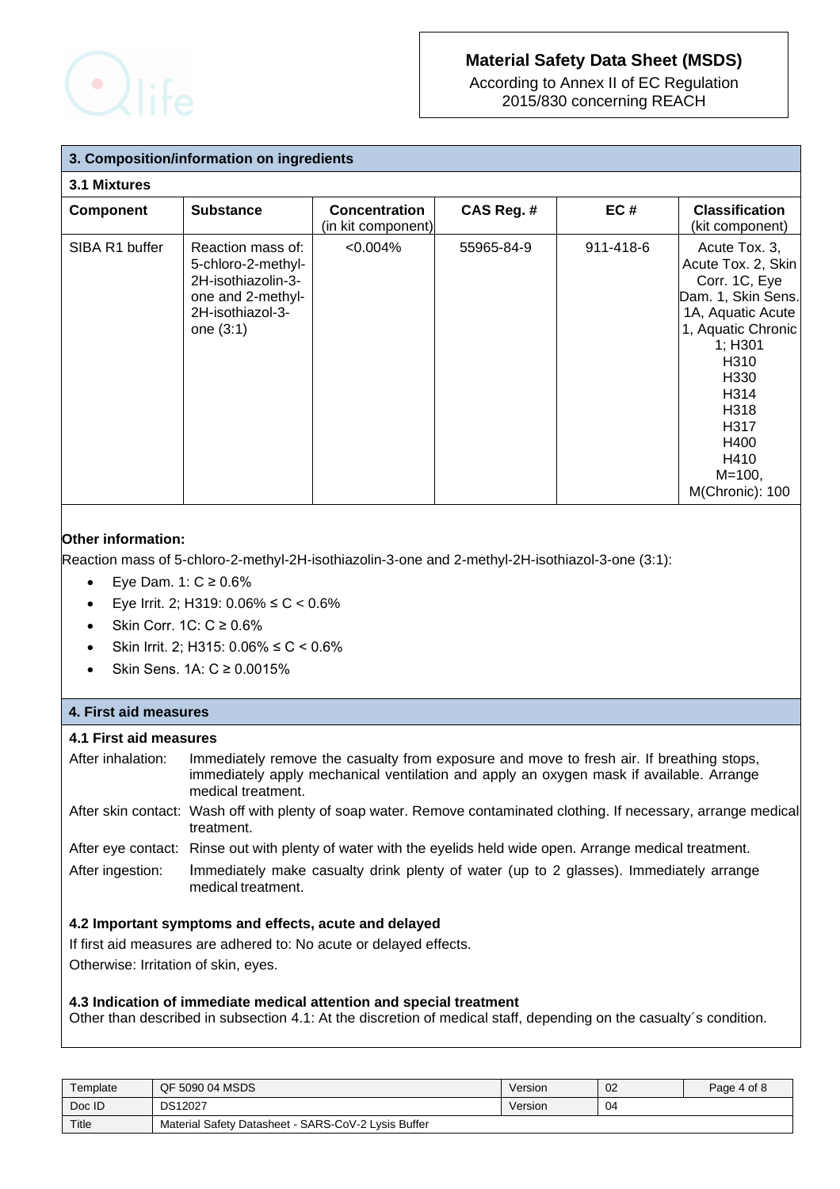

According to Annex II of EC Regulation 2015/830 concerning REACH

| 3. Composition/information on ingredients |                                                                                                                       |                                            |            |           |                                                                                                                                                                                                                                        |
|-------------------------------------------|-----------------------------------------------------------------------------------------------------------------------|--------------------------------------------|------------|-----------|----------------------------------------------------------------------------------------------------------------------------------------------------------------------------------------------------------------------------------------|
| 3.1 Mixtures                              |                                                                                                                       |                                            |            |           |                                                                                                                                                                                                                                        |
| <b>Component</b>                          | <b>Substance</b>                                                                                                      | <b>Concentration</b><br>(in kit component) | CAS Reg. # | EC#       | <b>Classification</b><br>(kit component)                                                                                                                                                                                               |
| SIBA R1 buffer                            | Reaction mass of:<br>5-chloro-2-methyl-<br>2H-isothiazolin-3-<br>one and 2-methyl-<br>2H-isothiazol-3-<br>one $(3:1)$ | $< 0.004\%$                                | 55965-84-9 | 911-418-6 | Acute Tox. 3,<br>Acute Tox. 2, Skin<br>Corr. 1C, Eye<br>Dam. 1, Skin Sens.<br>1A, Aquatic Acute<br>1, Aquatic Chronic<br>1; H301<br>H310<br>H330<br>H <sub>3</sub> 14<br>H318<br>H317<br>H400<br>H410<br>$M = 100,$<br>M(Chronic): 100 |

# **Other information:**

Reaction mass of 5-chloro-2-methyl-2H-isothiazolin-3-one and 2-methyl-2H-isothiazol-3-one (3:1):

- Eye Dam. 1:  $C \ge 0.6\%$
- Eye Irrit. 2; H319: 0.06% ≤ C < 0.6%
- Skin Corr. 1C: C ≥ 0.6%
- Skin Irrit. 2; H315: 0.06% ≤ C < 0.6%
- Skin Sens. 1A: C ≥ 0.0015%

## **4. First aid measures**

## **4.1 First aid measures**

| After inhalation: | Immediately remove the casualty from exposure and move to fresh air. If breathing stops,<br>immediately apply mechanical ventilation and apply an oxygen mask if available. Arrange<br>medical treatment. |
|-------------------|-----------------------------------------------------------------------------------------------------------------------------------------------------------------------------------------------------------|
|                   | After aline contact: Week off with planty of coop water. Remove contaminated elething If necessary extense modi                                                                                           |

- After skin contact: Wash off with plenty of soap water. Remove contaminated clothing. If necessary, arrange medical treatment.
- After eye contact: Rinse out with plenty of water with the eyelids held wide open. Arrange medical treatment.
- After ingestion: Immediately make casualty drink plenty of water (up to 2 glasses). Immediately arrange medical treatment.

## **4.2 Important symptoms and effects, acute and delayed**

If first aid measures are adhered to: No acute or delayed effects.

Otherwise: Irritation of skin, eyes.

## **4.3 Indication of immediate medical attention and special treatment**

Other than described in subsection 4.1: At the discretion of medical staff, depending on the casualty´s condition.

| Template | QF 5090 04 MSDS                                     | Version | 02 | Page 4 of 8 |
|----------|-----------------------------------------------------|---------|----|-------------|
| Doc ID   | <b>DS12027</b>                                      | Version | 04 |             |
| Title    | Material Safety Datasheet - SARS-CoV-2 Lysis Buffer |         |    |             |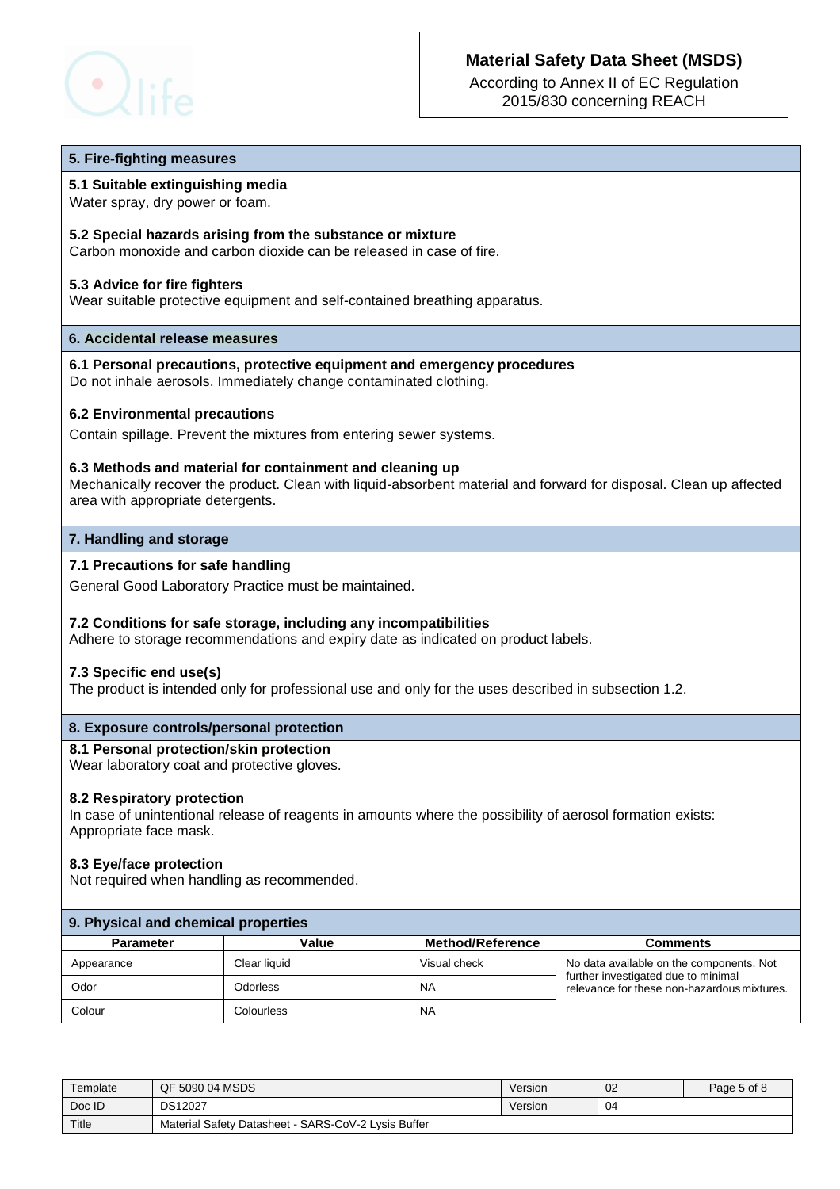

According to Annex II of EC Regulation 2015/830 concerning REACH

#### **5. Fire-fighting measures**

#### **5.1 Suitable extinguishing media**

Water spray, dry power or foam.

#### **5.2 Special hazards arising from the substance or mixture**

Carbon monoxide and carbon dioxide can be released in case of fire.

#### **5.3 Advice for fire fighters**

Wear suitable protective equipment and self-contained breathing apparatus.

#### **6. Accidental release measures**

**6.1 Personal precautions, protective equipment and emergency procedures** Do not inhale aerosols. Immediately change contaminated clothing.

#### **6.2 Environmental precautions**

Contain spillage. Prevent the mixtures from entering sewer systems.

#### **6.3 Methods and material for containment and cleaning up**

Mechanically recover the product. Clean with liquid-absorbent material and forward for disposal. Clean up affected area with appropriate detergents.

#### **7. Handling and storage**

## **7.1 Precautions for safe handling**

General Good Laboratory Practice must be maintained.

#### **7.2 Conditions for safe storage, including any incompatibilities**

Adhere to storage recommendations and expiry date as indicated on product labels.

#### **7.3 Specific end use(s)**

The product is intended only for professional use and only for the uses described in subsection 1.2.

#### **8. Exposure controls/personal protection**

#### **8.1 Personal protection/skin protection**

Wear laboratory coat and protective gloves.

#### **8.2 Respiratory protection**

 In case of unintentional release of reagents in amounts where the possibility of aerosol formation exists: Appropriate face mask.

#### **8.3 Eye/face protection**

Not required when handling as recommended.

| 9. Physical and chemical properties |              |                         |                                                                                    |  |  |
|-------------------------------------|--------------|-------------------------|------------------------------------------------------------------------------------|--|--|
| <b>Parameter</b>                    | Value        | <b>Method/Reference</b> | Comments                                                                           |  |  |
| Appearance                          | Clear liquid | Visual check            | No data available on the components. Not                                           |  |  |
| Odor                                | Odorless     | <b>NA</b>               | further investigated due to minimal<br>relevance for these non-hazardous mixtures. |  |  |
| Colour                              | Colourless   | NA                      |                                                                                    |  |  |

| Template | QF 5090 04 MSDS                                     | Version | 02 | Page 5 of 8 |
|----------|-----------------------------------------------------|---------|----|-------------|
| Doc ID   | <b>DS12027</b>                                      | Version | 04 |             |
| Title    | Material Safety Datasheet - SARS-CoV-2 Lysis Buffer |         |    |             |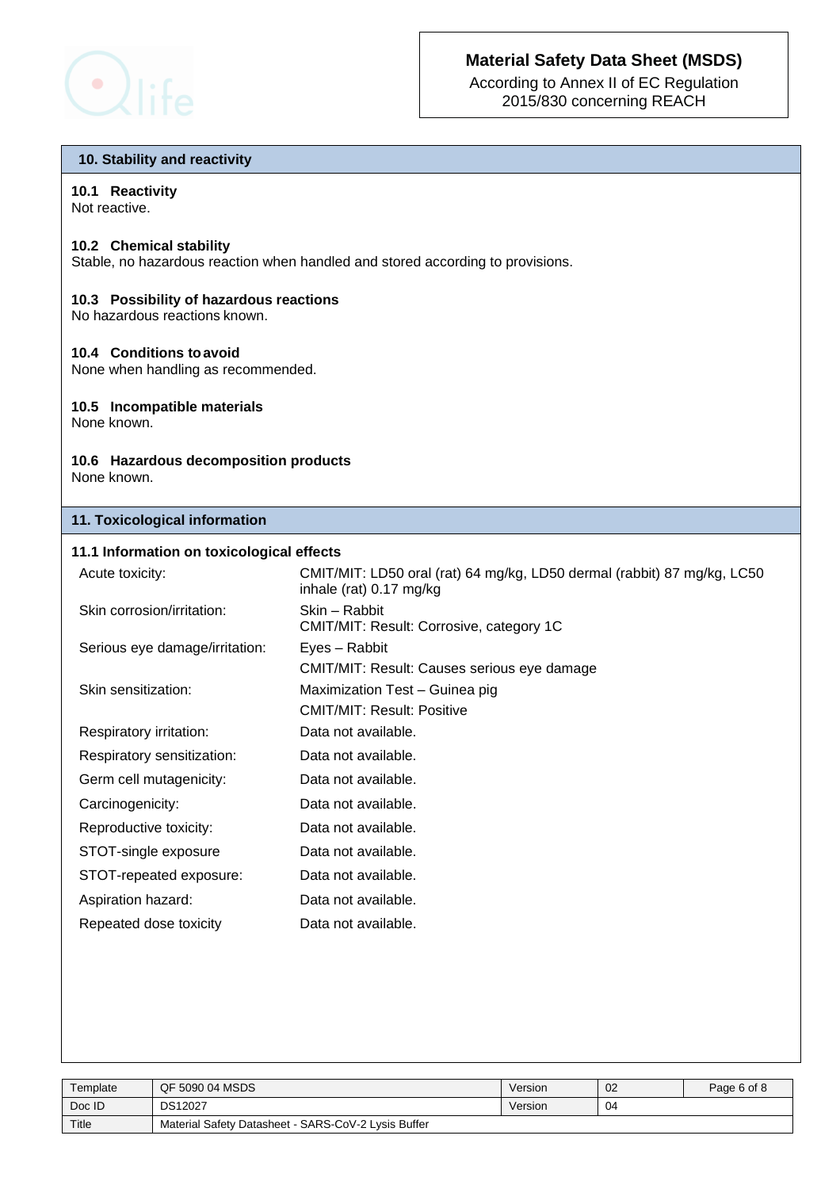

According to Annex II of EC Regulation 2015/830 concerning REACH

### **10. Stability and reactivity**

## **10.1 Reactivity**

Not reactive.

## **10.2 Chemical stability**

Stable, no hazardous reaction when handled and stored according to provisions.

## **10.3 Possibility of hazardous reactions**

No hazardous reactions known.

## **10.4 Conditions toavoid**

None when handling as recommended.

### **10.5 Incompatible materials**

None known.

# **10.6 Hazardous decomposition products**

None known.

## **11. Toxicological information**

## **11.1 Information on toxicological effects**

| Acute toxicity:                | CMIT/MIT: LD50 oral (rat) 64 mg/kg, LD50 dermal (rabbit) 87 mg/kg, LC50<br>inhale (rat) 0.17 mg/kg |
|--------------------------------|----------------------------------------------------------------------------------------------------|
| Skin corrosion/irritation:     | Skin - Rabbit<br>CMIT/MIT: Result: Corrosive, category 1C                                          |
| Serious eye damage/irritation: | Eyes - Rabbit                                                                                      |
|                                | CMIT/MIT: Result: Causes serious eye damage                                                        |
| Skin sensitization:            | Maximization Test - Guinea pig                                                                     |
|                                | <b>CMIT/MIT: Result: Positive</b>                                                                  |
| Respiratory irritation:        | Data not available.                                                                                |
| Respiratory sensitization:     | Data not available.                                                                                |
| Germ cell mutagenicity:        | Data not available.                                                                                |
| Carcinogenicity:               | Data not available.                                                                                |
| Reproductive toxicity:         | Data not available.                                                                                |
| STOT-single exposure           | Data not available.                                                                                |
| STOT-repeated exposure:        | Data not available.                                                                                |
| Aspiration hazard:             | Data not available.                                                                                |
| Repeated dose toxicity         | Data not available.                                                                                |

| Template | QF 5090 04 MSDS                                     | Version | 02 | Page 6 of 8 |
|----------|-----------------------------------------------------|---------|----|-------------|
| Doc ID   | <b>DS12027</b>                                      | Version | 04 |             |
| Title    | Material Safety Datasheet - SARS-CoV-2 Lysis Buffer |         |    |             |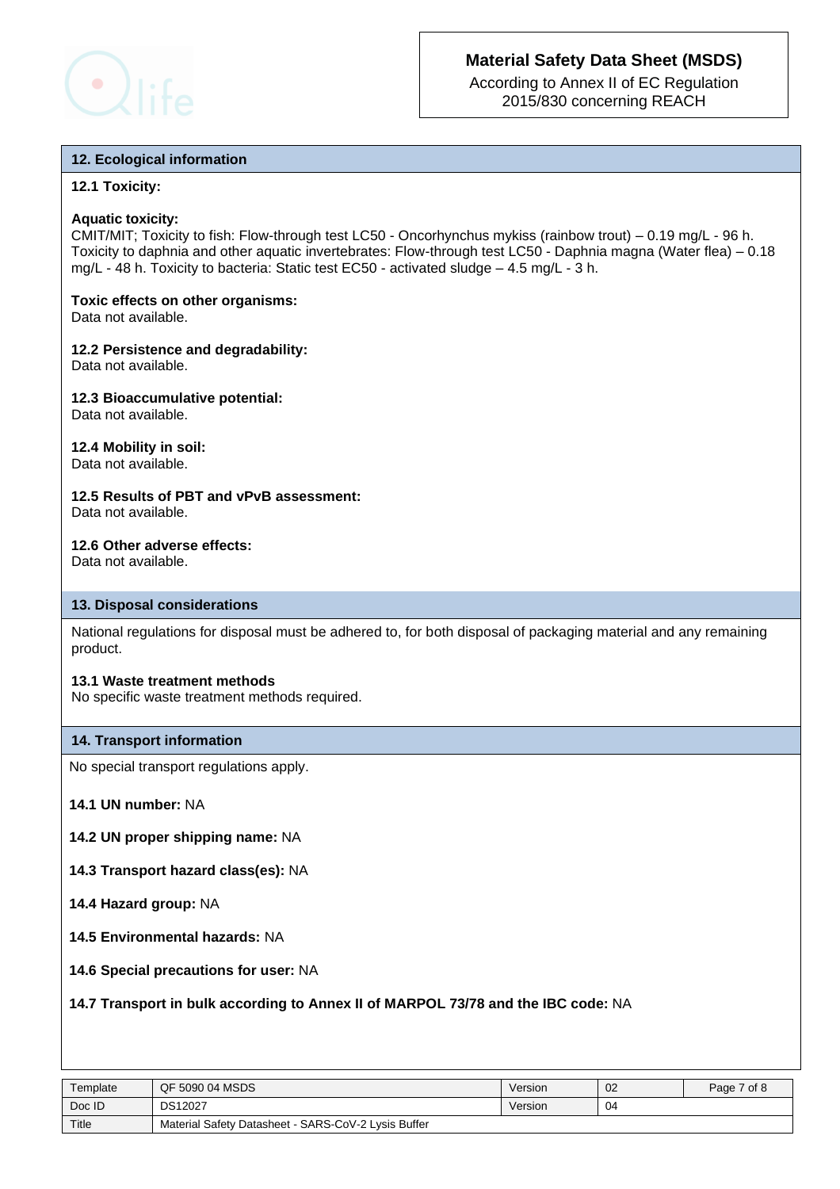

According to Annex II of EC Regulation 2015/830 concerning REACH

## **12. Ecological information**

## **12.1 Toxicity:**

### **Aquatic toxicity:**

CMIT/MIT; Toxicity to fish: Flow-through test LC50 - Oncorhynchus mykiss (rainbow trout) – 0.19 mg/L - 96 h. Toxicity to daphnia and other aquatic invertebrates: Flow-through test LC50 - Daphnia magna (Water flea) – 0.18 mg/L - 48 h. Toxicity to bacteria: Static test EC50 - activated sludge – 4.5 mg/L - 3 h.

# **Toxic effects on other organisms:**

Data not available.

#### **12.2 Persistence and degradability:** Data not available.

## **12.3 Bioaccumulative potential:** Data not available.

**12.4 Mobility in soil:** Data not available.

#### **12.5 Results of PBT and vPvB assessment:** Data not available.

## **12.6 Other adverse effects:**

Data not available.

## **13. Disposal considerations**

National regulations for disposal must be adhered to, for both disposal of packaging material and any remaining product.

#### **13.1 Waste treatment methods**

No specific waste treatment methods required.

## **14. Transport information**

No special transport regulations apply.

**14.1 UN number:** NA

- **14.2 UN proper shipping name:** NA
- **14.3 Transport hazard class(es):** NA
- **14.4 Hazard group:** NA
- **14.5 Environmental hazards:** NA
- **14.6 Special precautions for user:** NA

## **14.7 Transport in bulk according to Annex II of MARPOL 73/78 and the IBC code:** NA

| Template | QF 5090 04 MSDS                                     | Version | 02 | Page 7 of 8 |
|----------|-----------------------------------------------------|---------|----|-------------|
| Doc ID   | <b>DS12027</b>                                      | Version | 04 |             |
| Title    | Material Safety Datasheet - SARS-CoV-2 Lysis Buffer |         |    |             |